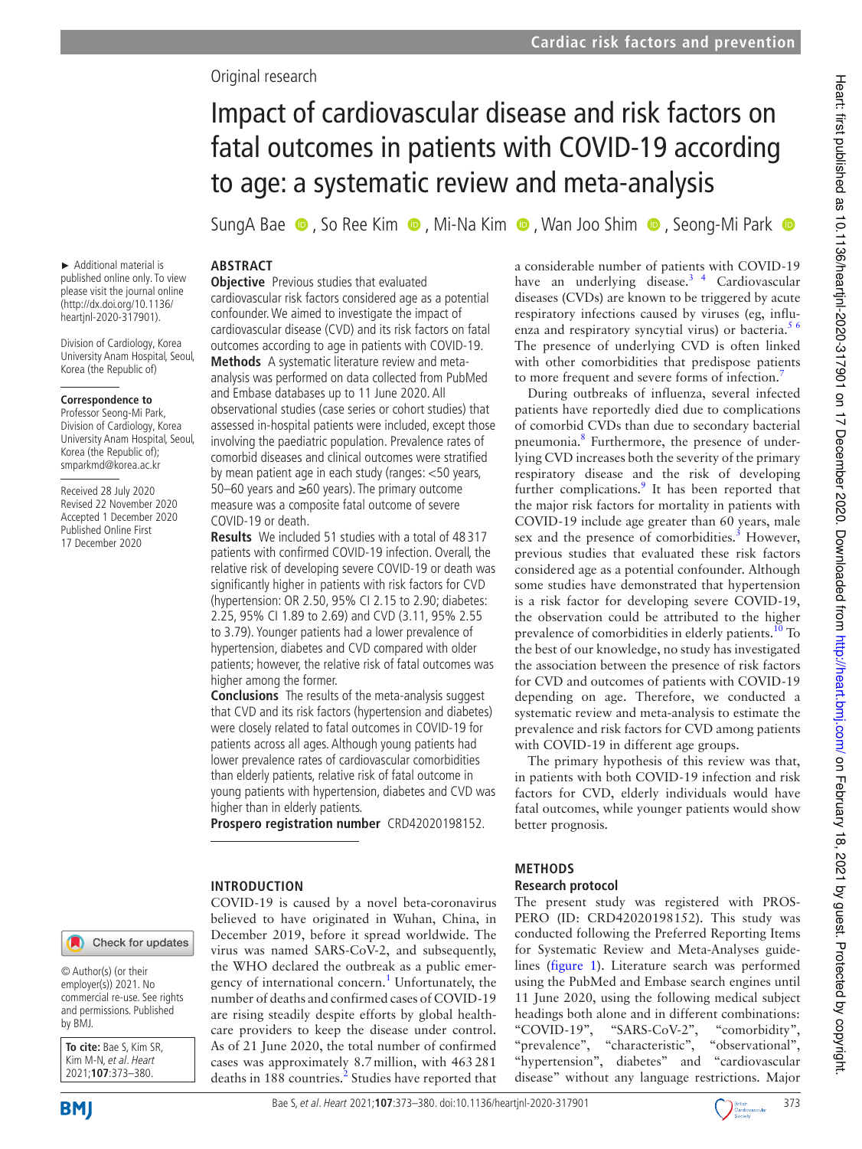# Original research

# Impact of cardiovascular disease and risk factors on fatal outcomes in patients with COVID-19 according to age: a systematic review and meta-analysis

SungA Bae  $\bullet$ , So Ree Kim  $\bullet$ , Mi-Na Kim  $\bullet$ , Wan Joo Shim  $\bullet$ , Seong-Mi Park  $\bullet$ 

► Additional material is published online only. To view please visit the journal online (http:// dx. doi. org/ 10. 1136/ heartjnl-2020-317901).

Division of Cardiology, Korea University Anam Hospital, Seoul, Korea (the Republic of)

#### **Correspondence to**

Professor Seong-Mi Park, Division of Cardiology, Korea University Anam Hospital, Seoul, Korea (the Republic of); smparkmd@ korea. ac. kr

Received 28 July 2020 Revised 22 November 2020 Accepted 1 December 2020 Published Online First 17 December 2020

## **ABSTRACT**

**Objective** Previous studies that evaluated cardiovascular risk factors considered age as a potential confounder. We aimed to investigate the impact of cardiovascular disease (CVD) and its risk factors on fatal outcomes according to age in patients with COVID-19. **Methods** A systematic literature review and metaanalysis was performed on data collected from PubMed and Embase databases up to 11 June 2020. All observational studies (case series or cohort studies) that assessed in- hospital patients were included, except those involving the paediatric population. Prevalence rates of comorbid diseases and clinical outcomes were stratified by mean patient age in each study (ranges: <50 years, 50–60 years and ≥60 years). The primary outcome measure was a composite fatal outcome of severe

COVID-19 or death. **Results** We included 51 studies with a total of 48 317 patients with confirmed COVID-19 infection. Overall, the relative risk of developing severe COVID-19 or death was significantly higher in patients with risk factors for CVD (hypertension: OR 2.50, 95% CI 2.15 to 2.90; diabetes: 2.25, 95% CI 1.89 to 2.69) and CVD (3.11, 95% 2.55 to 3.79). Younger patients had a lower prevalence of hypertension, diabetes and CVD compared with older patients; however, the relative risk of fatal outcomes was higher among the former.

**Conclusions** The results of the meta-analysis suggest that CVD and its risk factors (hypertension and diabetes) were closely related to fatal outcomes in COVID-19 for patients across all ages. Although young patients had lower prevalence rates of cardiovascular comorbidities than elderly patients, relative risk of fatal outcome in young patients with hypertension, diabetes and CVD was higher than in elderly patients.

**Prospero registration number** CRD42020198152.

#### **INTRODUCTION**

COVID-19 is caused by a novel beta-coronavirus believed to have originated in Wuhan, China, in December 2019, before it spread worldwide. The virus was named SARS-CoV-2, and subsequently, the WHO declared the outbreak as a public emergency of international concern.<sup>1</sup> Unfortunately, the number of deaths and confirmed cases of COVID-19 are rising steadily despite efforts by global healthcare providers to keep the disease under control. As of 21 June 2020, the total number of confirmed cases was approximately 8.7 million, with 463 281 deaths in 188 countries.<sup>2</sup> Studies have reported that a considerable number of patients with COVID-19 have an underlying disease.<sup>3</sup><sup>4</sup> Cardiovascular diseases (CVDs) are known to be triggered by acute respiratory infections caused by viruses (eg, influenza and respiratory syncytial virus) or bacteria. $56$ The presence of underlying CVD is often linked with other comorbidities that predispose patients to more frequent and severe forms of infection.<sup>7</sup>

During outbreaks of influenza, several infected patients have reportedly died due to complications of comorbid CVDs than due to secondary bacterial pneumonia.<sup>8</sup> Furthermore, the presence of underlying CVD increases both the severity of the primary respiratory disease and the risk of developing further complications.<sup>9</sup> It has been reported that the major risk factors for mortality in patients with COVID-19 include age greater than 60 years, male sex and the presence of comorbidities.<sup>3</sup> However, previous studies that evaluated these risk factors considered age as a potential confounder. Although some studies have demonstrated that hypertension is a risk factor for developing severe COVID-19, the observation could be attributed to the higher prevalence of comorbidities in elderly patients.<sup>10</sup> To the best of our knowledge, no study has investigated the association between the presence of risk factors for CVD and outcomes of patients with COVID-19 depending on age. Therefore, we conducted a systematic review and meta-analysis to estimate the prevalence and risk factors for CVD among patients with COVID-19 in different age groups.

The primary hypothesis of this review was that, in patients with both COVID-19 infection and risk factors for CVD, elderly individuals would have fatal outcomes, while younger patients would show better prognosis.

#### **METHODS**

## **Research protocol**

The present study was registered with PROS-PERO (ID: CRD42020198152). This study was conducted following the Preferred Reporting Items for Systematic Review and Meta-Analyses guidelines (figure 1). Literature search was performed using the PubMed and Embase search engines until 11 June 2020, using the following medical subject headings both alone and in different combinations: "COVID-19", "SARS-CoV-2", "comorbidity", "prevalence", "characteristic", "observational", "hypertension", diabetes" and "cardiovascular disease" without any language restrictions. Major

© Author(s) (or their employer(s)) 2021. No commercial re-use. See rights and permissions. Published by BMJ.

**To cite:** Bae S, Kim SR, Kim M-N, et al. Heart 2021;**107**:373–380.

**BMI** 

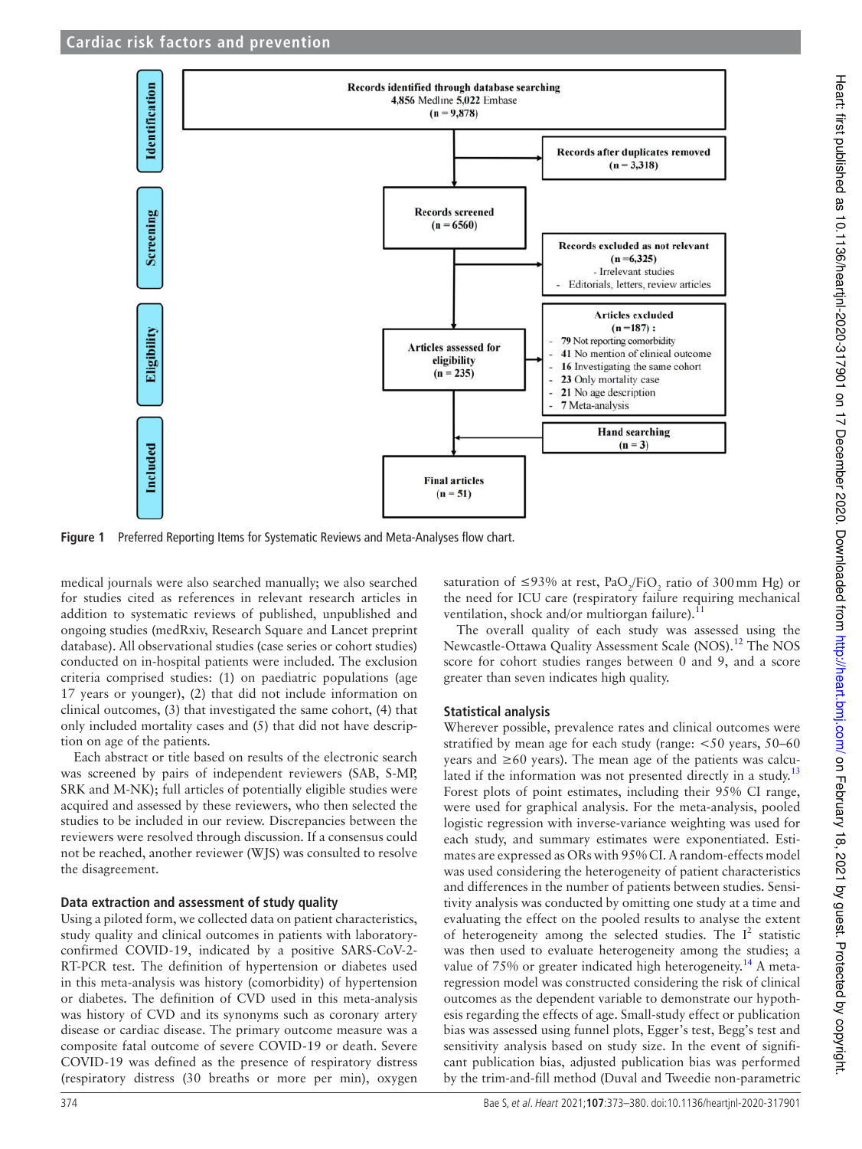

Figure 1 Preferred Reporting Items for Systematic Reviews and Meta-Analyses flow chart.

medical journals were also searched manually; we also searched for studies cited as references in relevant research articles in addition to systematic reviews of published, unpublished and ongoing studies (medRxiv, Research Square and Lancet preprint database). All observational studies (case series or cohort studies) conducted on in- hospital patients were included. The exclusion criteria comprised studies: (1) on paediatric populations (age 17 years or younger), (2) that did not include information on clinical outcomes, (3) that investigated the same cohort, (4) that only included mortality cases and (5) that did not have description on age of the patients.

Each abstract or title based on results of the electronic search was screened by pairs of independent reviewers (SAB, S-MP, SRK and M-NK); full articles of potentially eligible studies were acquired and assessed by these reviewers, who then selected the studies to be included in our review. Discrepancies between the reviewers were resolved through discussion. If a consensus could not be reached, another reviewer (WJS) was consulted to resolve the disagreement.

#### **Data extraction and assessment of study quality**

Using a piloted form, we collected data on patient characteristics, study quality and clinical outcomes in patients with laboratoryconfirmed COVID-19, indicated by a positive SARS-CoV-2-RT-PCR test. The definition of hypertension or diabetes used in this meta-analysis was history (comorbidity) of hypertension or diabetes. The definition of CVD used in this meta- analysis was history of CVD and its synonyms such as coronary artery disease or cardiac disease. The primary outcome measure was a composite fatal outcome of severe COVID-19 or death. Severe COVID-19 was defined as the presence of respiratory distress (respiratory distress (30 breaths or more per min), oxygen

saturation of ≤93% at rest,  $PaO_2/FiO_2$  ratio of 300mm Hg) or the need for ICU care (respiratory failure requiring mechanical ventilation, shock and/or multiorgan failure). $11$ 

The overall quality of each study was assessed using the Newcastle-Ottawa Quality Assessment Scale (NOS).<sup>12</sup> The NOS score for cohort studies ranges between 0 and 9, and a score greater than seven indicates high quality.

#### **Statistical analysis**

Wherever possible, prevalence rates and clinical outcomes were stratified by mean age for each study (range: <50 years, 50–60 years and ≥60 years). The mean age of the patients was calculated if the information was not presented directly in a study.<sup>13</sup> Forest plots of point estimates, including their 95% CI range, were used for graphical analysis. For the meta-analysis, pooled logistic regression with inverse-variance weighting was used for each study, and summary estimates were exponentiated. Estimates are expressed as ORs with 95% CI. A random-effects model was used considering the heterogeneity of patient characteristics and differences in the number of patients between studies. Sensitivity analysis was conducted by omitting one study at a time and evaluating the effect on the pooled results to analyse the extent of heterogeneity among the selected studies. The  $I^2$  statistic was then used to evaluate heterogeneity among the studies; a value of  $75\%$  or greater indicated high heterogeneity.<sup>14</sup> A metaregression model was constructed considering the risk of clinical outcomes as the dependent variable to demonstrate our hypothesis regarding the effects of age. Small- study effect or publication bias was assessed using funnel plots, Egger's test, Begg's test and sensitivity analysis based on study size. In the event of significant publication bias, adjusted publication bias was performed by the trim-and-fill method (Duval and Tweedie non-parametric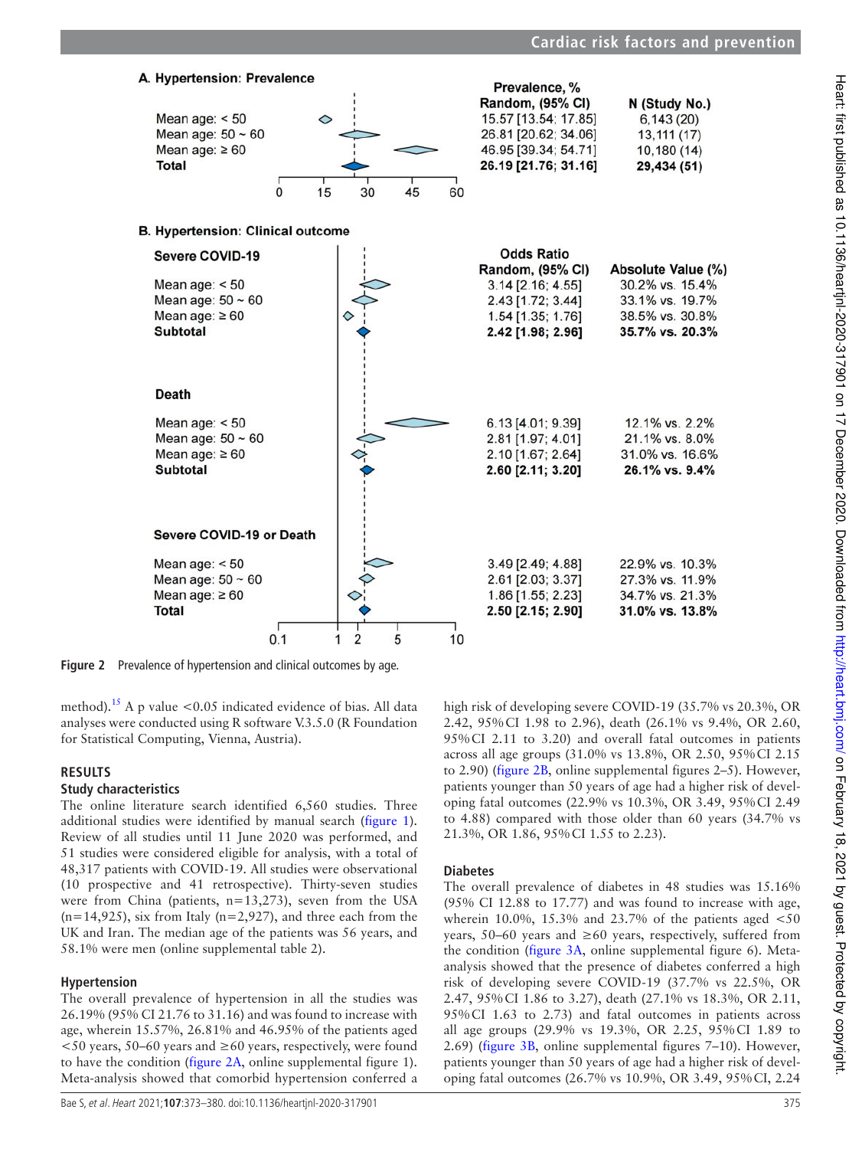

**Figure 2** Prevalence of hypertension and clinical outcomes by age.

method).<sup>15</sup> A p value <0.05 indicated evidence of bias. All data analyses were conducted using R software V.3.5.0 (R Foundation for Statistical Computing, Vienna, Austria).

#### **RESULTS**

#### **Study characteristics**

The online literature search identified 6,560 studies. Three additional studies were identified by manual search (figure 1). Review of all studies until 11 June 2020 was performed, and 51 studies were considered eligible for analysis, with a total of 48,317 patients with COVID-19. All studies were observational (10 prospective and 41 retrospective). Thirty- seven studies were from China (patients, n=13,273), seven from the USA  $(n=14,925)$ , six from Italy  $(n=2,927)$ , and three each from the UK and Iran. The median age of the patients was 56 years, and 58.1% were men (online supplemental table 2).

#### **Hypertension**

The overall prevalence of hypertension in all the studies was 26.19% (95% CI 21.76 to 31.16) and was found to increase with age, wherein 15.57%, 26.81% and 46.95% of the patients aged  $<$  50 years, 50–60 years and  $\geq$  60 years, respectively, were found to have the condition (figure 2A, online supplemental figure 1). Meta-analysis showed that comorbid hypertension conferred a high risk of developing severe COVID-19 (35.7% vs 20.3%, OR 2.42, 95% CI 1.98 to 2.96), death (26.1% vs 9.4%, OR 2.60, 95% CI 2.11 to 3.20) and overall fatal outcomes in patients across all age groups (31.0% vs 13.8%, OR 2.50, 95% CI 2.15 to 2.90) (figure 2B, online supplemental figures 2–5). However, patients younger than 50 years of age had a higher risk of developing fatal outcomes (22.9% vs 10.3%, OR 3.49, 95% CI 2.49 to 4.88) compared with those older than 60 years (34.7% vs 21.3%, OR 1.86, 95% CI 1.55 to 2.23).

#### **Diabetes**

The overall prevalence of diabetes in 48 studies was 15.16% (95% CI 12.88 to 17.77) and was found to increase with age, wherein 10.0%, 15.3% and 23.7% of the patients aged  $\lt 50$ years, 50–60 years and ≥60 years, respectively, suffered from the condition (figure 3A, online supplemental figure 6). Metaanalysis showed that the presence of diabetes conferred a high risk of developing severe COVID-19 (37.7% vs 22.5%, OR 2.47, 95% CI 1.86 to 3.27), death (27.1% vs 18.3%, OR 2.11, 95% CI 1.63 to 2.73) and fatal outcomes in patients across all age groups (29.9% vs 19.3%, OR 2.25, 95% CI 1.89 to 2.69) (figure 3B, online supplemental figures 7–10). However, patients younger than 50 years of age had a higher risk of developing fatal outcomes (26.7% vs 10.9%, OR 3.49, 95% CI, 2.24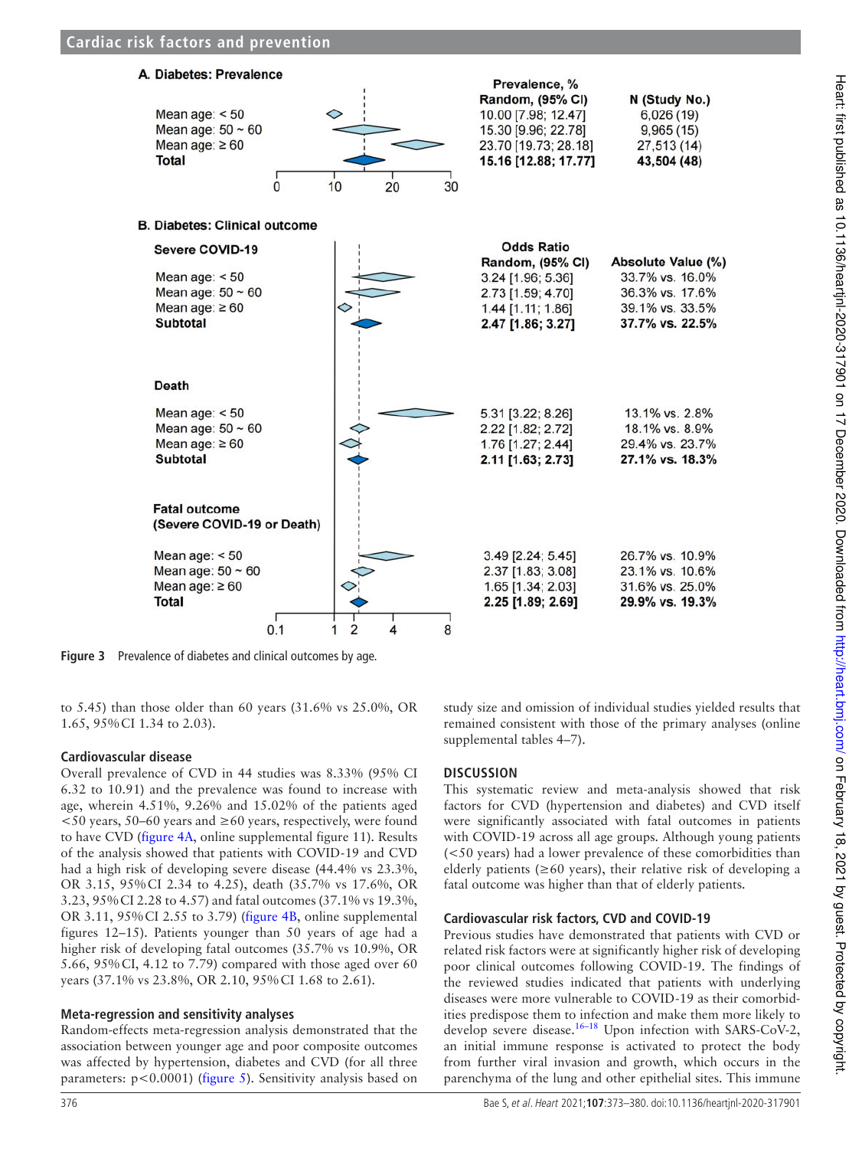

**Figure 3** Prevalence of diabetes and clinical outcomes by age.

to 5.45) than those older than 60 years (31.6% vs 25.0%, OR 1.65, 95% CI 1.34 to 2.03).

#### **Cardiovascular disease**

Overall prevalence of CVD in 44 studies was 8.33% (95% CI 6.32 to 10.91) and the prevalence was found to increase with age, wherein 4.51%, 9.26% and 15.02% of the patients aged  $<$  50 years, 50–60 years and  $\geq$  60 years, respectively, were found to have CVD (figure 4A, online supplemental figure 11). Results of the analysis showed that patients with COVID-19 and CVD had a high risk of developing severe disease (44.4% vs 23.3%, OR 3.15, 95% CI 2.34 to 4.25), death (35.7% vs 17.6%, OR 3.23, 95% CI 2.28 to 4.57) and fatal outcomes (37.1% vs 19.3%, OR 3.11, 95% CI 2.55 to 3.79) (figure 4B, online supplemental figures 12–15). Patients younger than 50 years of age had a higher risk of developing fatal outcomes (35.7% vs 10.9%, OR 5.66, 95% CI, 4.12 to 7.79) compared with those aged over 60 years (37.1% vs 23.8%, OR 2.10, 95% CI 1.68 to 2.61).

#### **Meta-regression and sensitivity analyses**

Random- effects meta-regression analysis demonstrated that the association between younger age and poor composite outcomes was affected by hypertension, diabetes and CVD (for all three parameters:  $p < 0.0001$ ) (figure 5). Sensitivity analysis based on

study size and omission of individual studies yielded results that remained consistent with those of the primary analyses (online supplemental tables 4–7).

## **DISCUSSION**

This systematic review and meta-analysis showed that risk factors for CVD (hypertension and diabetes) and CVD itself were significantly associated with fatal outcomes in patients with COVID-19 across all age groups. Although young patients (<50 years) had a lower prevalence of these comorbidities than elderly patients ( $\geq 60$  years), their relative risk of developing a fatal outcome was higher than that of elderly patients.

#### **Cardiovascular risk factors, CVD and COVID-19**

Previous studies have demonstrated that patients with CVD or related risk factors were at significantly higher risk of developing poor clinical outcomes following COVID-19. The findings of the reviewed studies indicated that patients with underlying diseases were more vulnerable to COVID-19 as their comorbidities predispose them to infection and make them more likely to develop severe disease.<sup>16–18</sup> Upon infection with SARS-CoV-2, an initial immune response is activated to protect the body from further viral invasion and growth, which occurs in the parenchyma of the lung and other epithelial sites. This immune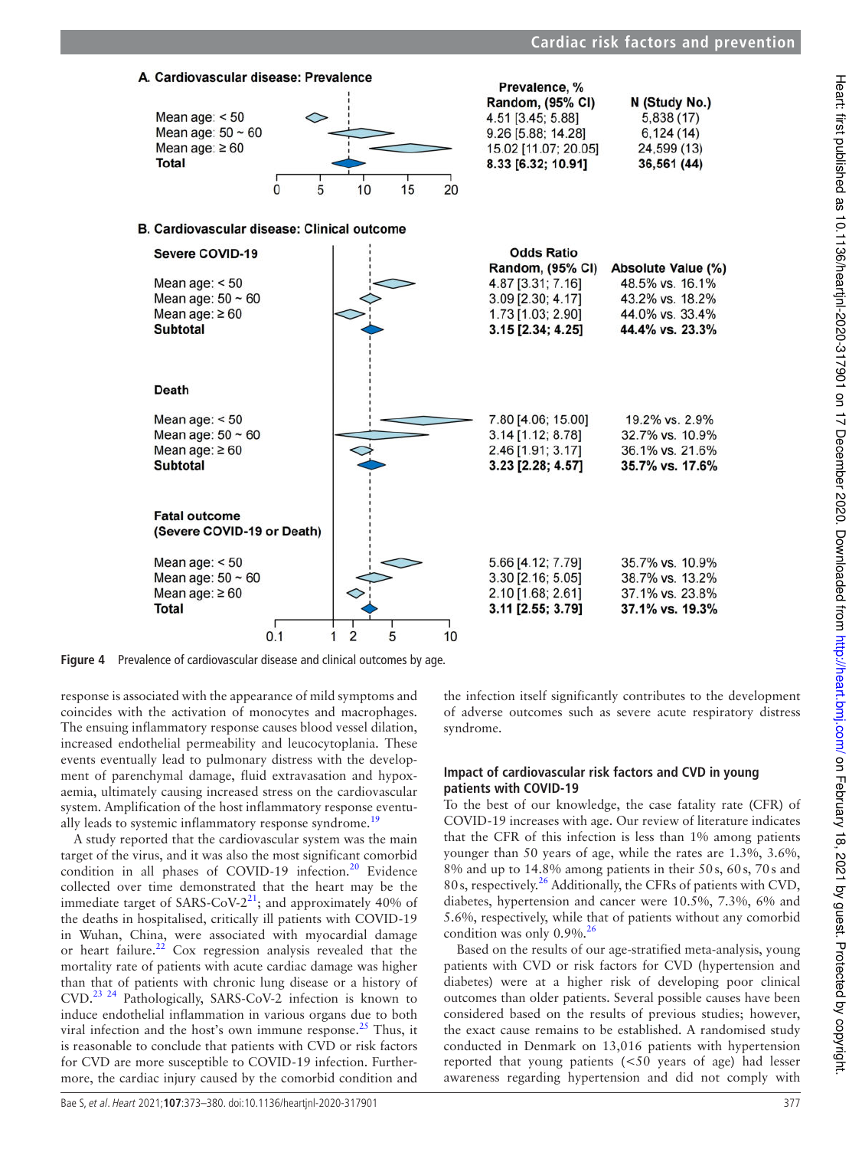

**Figure 4** Prevalence of cardiovascular disease and clinical outcomes by age.

response is associated with the appearance of mild symptoms and coincides with the activation of monocytes and macrophages. The ensuing inflammatory response causes blood vessel dilation, increased endothelial permeability and leucocytoplania. These events eventually lead to pulmonary distress with the development of parenchymal damage, fluid extravasation and hypoxaemia, ultimately causing increased stress on the cardiovascular system. Amplification of the host inflammatory response eventually leads to systemic inflammatory response syndrome.<sup>19</sup>

A study reported that the cardiovascular system was the main target of the virus, and it was also the most significant comorbid condition in all phases of COVID-19 infection.<sup>20</sup> Evidence collected over time demonstrated that the heart may be the immediate target of SARS-CoV- $2^{21}$ ; and approximately 40% of the deaths in hospitalised, critically ill patients with COVID-19 in Wuhan, China, were associated with myocardial damage or heart failure.<sup>22</sup> Cox regression analysis revealed that the mortality rate of patients with acute cardiac damage was higher than that of patients with chronic lung disease or a history of CVD.<sup>23 24</sup> Pathologically, SARS-CoV-2 infection is known to induce endothelial inflammation in various organs due to both viral infection and the host's own immune response.<sup>25</sup> Thus, it is reasonable to conclude that patients with CVD or risk factors for CVD are more susceptible to COVID-19 infection. Furthermore, the cardiac injury caused by the comorbid condition and

the infection itself significantly contributes to the development of adverse outcomes such as severe acute respiratory distress syndrome.

#### **Impact of cardiovascular risk factors and CVD in young patients with COVID-19**

To the best of our knowledge, the case fatality rate (CFR) of COVID-19 increases with age. Our review of literature indicates that the CFR of this infection is less than 1% among patients younger than 50 years of age, while the rates are 1.3%, 3.6%, 8% and up to 14.8% among patients in their 50 s, 60 s, 70 s and 80 s, respectively.<sup>26</sup> Additionally, the CFRs of patients with CVD, diabetes, hypertension and cancer were 10.5%, 7.3%, 6% and 5.6%, respectively, while that of patients without any comorbid condition was only  $0.9\%$ .<sup>26</sup>

Based on the results of our age-stratified meta-analysis, young patients with CVD or risk factors for CVD (hypertension and diabetes) were at a higher risk of developing poor clinical outcomes than older patients. Several possible causes have been considered based on the results of previous studies; however, the exact cause remains to be established. A randomised study conducted in Denmark on 13,016 patients with hypertension reported that young patients (<50 years of age) had lesser awareness regarding hypertension and did not comply with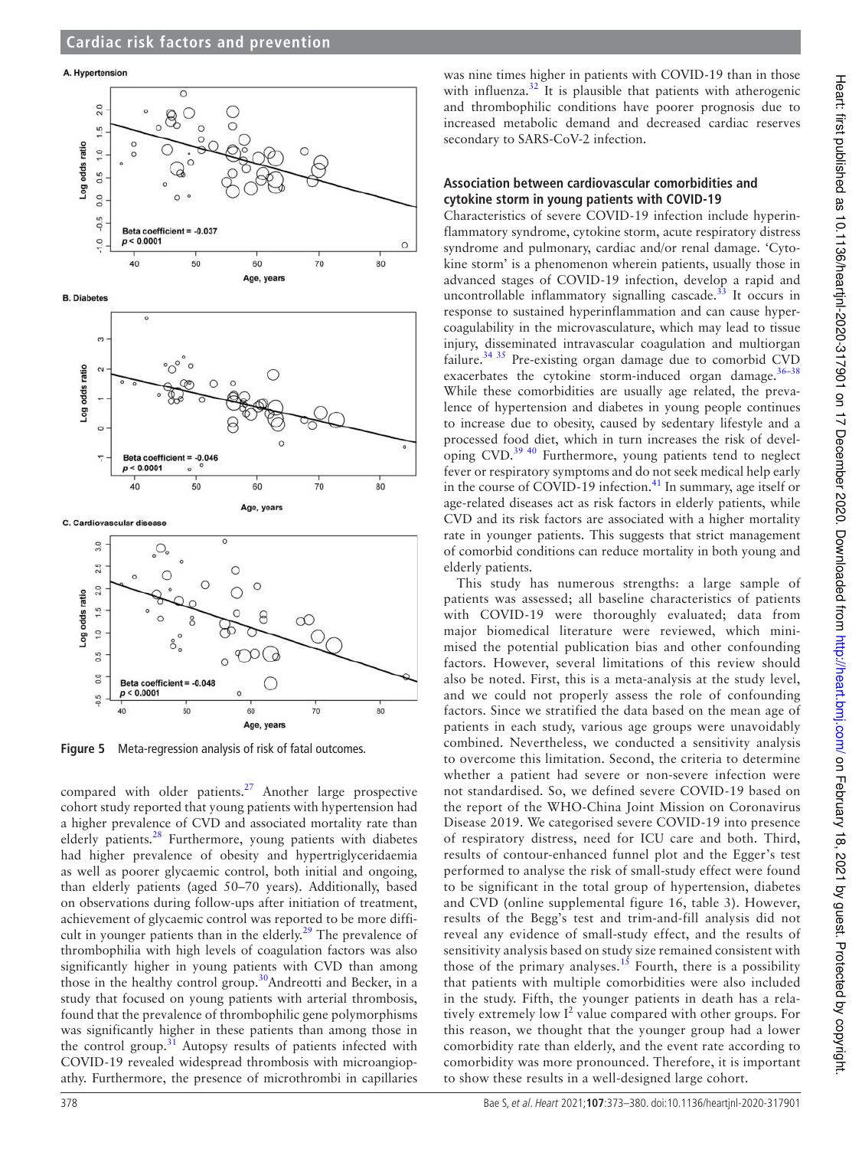



Age, years Figure 5 Meta-regression analysis of risk of fatal outcomes.

compared with older patients.<sup>27</sup> Another large prospective cohort study reported that young patients with hypertension had a higher prevalence of CVD and associated mortality rate than elderly patients. $28$  Furthermore, young patients with diabetes had higher prevalence of obesity and hypertriglyceridaemia as well as poorer glycaemic control, both initial and ongoing, than elderly patients (aged 50–70 years). Additionally, based on observations during follow- ups after initiation of treatment, achievement of glycaemic control was reported to be more difficult in younger patients than in the elderly.<sup>29</sup> The prevalence of thrombophilia with high levels of coagulation factors was also significantly higher in young patients with CVD than among those in the healthy control group.<sup>30</sup>Andreotti and Becker, in a study that focused on young patients with arterial thrombosis, found that the prevalence of thrombophilic gene polymorphisms was significantly higher in these patients than among those in the control group. $31$  Autopsy results of patients infected with COVID-19 revealed widespread thrombosis with microangiopathy. Furthermore, the presence of microthrombi in capillaries

was nine times higher in patients with COVID-19 than in those with influenza.<sup>32</sup> It is plausible that patients with atherogenic and thrombophilic conditions have poorer prognosis due to increased metabolic demand and decreased cardiac reserves secondary to SARS-CoV-2 infection.

#### **Association between cardiovascular comorbidities and cytokine storm in young patients with COVID-19**

Characteristics of severe COVID-19 infection include hyperinflammatory syndrome, cytokine storm, acute respiratory distress syndrome and pulmonary, cardiac and/or renal damage. 'Cytokine storm' is a phenomenon wherein patients, usually those in advanced stages of COVID-19 infection, develop a rapid and uncontrollable inflammatory signalling cascade. $33$  It occurs in response to sustained hyperinflammation and can cause hypercoagulability in the microvasculature, which may lead to tissue injury, disseminated intravascular coagulation and multiorgan failure.<sup>34 35</sup> Pre-existing organ damage due to comorbid CVD exacerbates the cytokine storm-induced organ damage.<sup>36-38</sup> While these comorbidities are usually age related, the prevalence of hypertension and diabetes in young people continues to increase due to obesity, caused by sedentary lifestyle and a processed food diet, which in turn increases the risk of developing CVD.39 40 Furthermore, young patients tend to neglect fever or respiratory symptoms and do not seek medical help early in the course of COVID-19 infection.<sup>41</sup> In summary, age itself or age- related diseases act as risk factors in elderly patients, while CVD and its risk factors are associated with a higher mortality rate in younger patients. This suggests that strict management of comorbid conditions can reduce mortality in both young and elderly patients.

This study has numerous strengths: a large sample of patients was assessed; all baseline characteristics of patients with COVID-19 were thoroughly evaluated; data from major biomedical literature were reviewed, which minimised the potential publication bias and other confounding factors. However, several limitations of this review should also be noted. First, this is a meta-analysis at the study level, and we could not properly assess the role of confounding factors. Since we stratified the data based on the mean age of patients in each study, various age groups were unavoidably combined. Nevertheless, we conducted a sensitivity analysis to overcome this limitation. Second, the criteria to determine whether a patient had severe or non-severe infection were not standardised. So, we defined severe COVID-19 based on the report of the WHO-China Joint Mission on Coronavirus Disease 2019. We categorised severe COVID-19 into presence of respiratory distress, need for ICU care and both. Third, results of contour-enhanced funnel plot and the Egger's test performed to analyse the risk of small-study effect were found to be significant in the total group of hypertension, diabetes and CVD (online supplemental figure 16, table 3). However, results of the Begg's test and trim-and-fill analysis did not reveal any evidence of small-study effect, and the results of sensitivity analysis based on study size remained consistent with those of the primary analyses.<sup>15</sup> Fourth, there is a possibility that patients with multiple comorbidities were also included in the study. Fifth, the younger patients in death has a relatively extremely low  $I^2$  value compared with other groups. For this reason, we thought that the younger group had a lower comorbidity rate than elderly, and the event rate according to comorbidity was more pronounced. Therefore, it is important to show these results in a well- designed large cohort.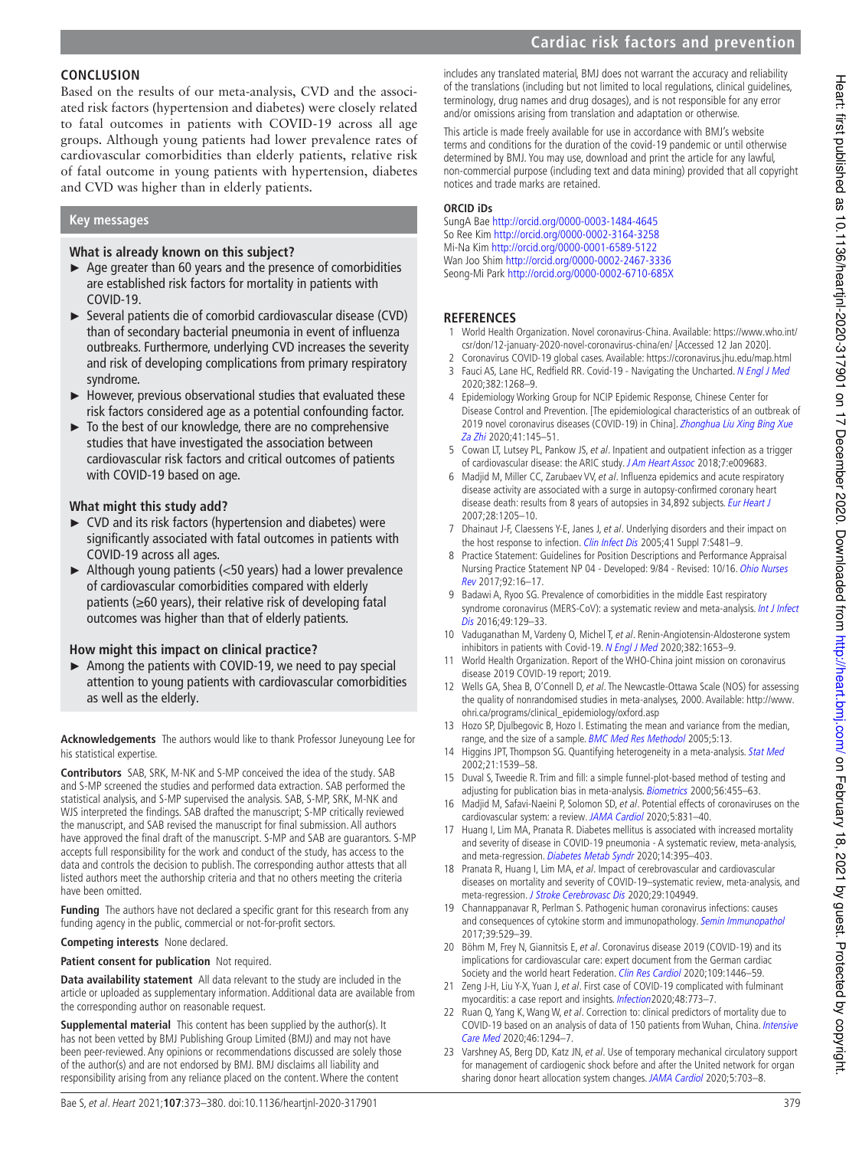Based on the results of our meta-analysis, CVD and the associated risk factors (hypertension and diabetes) were closely related to fatal outcomes in patients with COVID-19 across all age groups. Although young patients had lower prevalence rates of cardiovascular comorbidities than elderly patients, relative risk of fatal outcome in young patients with hypertension, diabetes and CVD was higher than in elderly patients.

#### **Key messages**

## **What is already known on this subject?**

- ► Age greater than 60 years and the presence of comorbidities are established risk factors for mortality in patients with COVID-19.
- ► Several patients die of comorbid cardiovascular disease (CVD) than of secondary bacterial pneumonia in event of influenza outbreaks. Furthermore, underlying CVD increases the severity and risk of developing complications from primary respiratory syndrome.
- ► However, previous observational studies that evaluated these risk factors considered age as a potential confounding factor.
- ► To the best of our knowledge, there are no comprehensive studies that have investigated the association between cardiovascular risk factors and critical outcomes of patients with COVID-19 based on age.

## **What might this study add?**

- ► CVD and its risk factors (hypertension and diabetes) were significantly associated with fatal outcomes in patients with COVID-19 across all ages.
- ► Although young patients (<50 years) had a lower prevalence of cardiovascular comorbidities compared with elderly patients (≥60 years), their relative risk of developing fatal outcomes was higher than that of elderly patients.

## **How might this impact on clinical practice?**

► Among the patients with COVID-19, we need to pay special attention to young patients with cardiovascular comorbidities as well as the elderly.

**Acknowledgements** The authors would like to thank Professor Juneyoung Lee for his statistical expertise.

**Contributors** SAB, SRK, M- NK and S- MP conceived the idea of the study. SAB and S-MP screened the studies and performed data extraction. SAB performed the statistical analysis, and S-MP supervised the analysis. SAB, S-MP, SRK, M-NK and WJS interpreted the findings. SAB drafted the manuscript; S-MP critically reviewed the manuscript, and SAB revised the manuscript for final submission. All authors have approved the final draft of the manuscript. S- MP and SAB are guarantors. S- MP accepts full responsibility for the work and conduct of the study, has access to the data and controls the decision to publish. The corresponding author attests that all listed authors meet the authorship criteria and that no others meeting the criteria have been omitted.

**Funding** The authors have not declared a specific grant for this research from any funding agency in the public, commercial or not-for-profit sectors.

**Competing interests** None declared.

**Patient consent for publication** Not required.

**Data availability statement** All data relevant to the study are included in the article or uploaded as supplementary information. Additional data are available from the corresponding author on reasonable request.

**Supplemental material** This content has been supplied by the author(s). It has not been vetted by BMJ Publishing Group Limited (BMJ) and may not have been peer- reviewed. Any opinions or recommendations discussed are solely those of the author(s) and are not endorsed by BMJ. BMJ disclaims all liability and responsibility arising from any reliance placed on the content. Where the content

includes any translated material, BMJ does not warrant the accuracy and reliability of the translations (including but not limited to local regulations, clinical guidelines, terminology, drug names and drug dosages), and is not responsible for any error and/or omissions arising from translation and adaptation or otherwise.

This article is made freely available for use in accordance with BMJ's website terms and conditions for the duration of the covid-19 pandemic or until otherwise determined by BMJ. You may use, download and print the article for any lawful, non- commercial purpose (including text and data mining) provided that all copyright notices and trade marks are retained.

#### **ORCID iDs**

SungA Bae http://orcid.org/0000-0003-1484-4645 So Ree Kim http:// orcid. org/ 0000- 0002- 3164- 3258 Mi-Na Kim http://orcid.org/0000-0001-6589-5122 Wan Joo Shim http://orcid.org/0000-0002-2467-3336 Seong-Mi Park http://orcid.org/0000-0002-6710-685X

## **REFERENCES**

- 1 World Health Organization. Novel coronavirus- China. Available: https://www. who. int/ csr/don/12-january-2020-novel-coronavirus-china/en/ [Accessed 12 Jan 2020].
- 2 Coronavirus COVID-19 global cases. Available: https://coronavirus.jhu.edu/map.html 3 Fauci AS, Lane HC, Redfield RR. Covid-19 - Navigating the Uncharted. N Engl J Med
- 2020;382:1268–9. 4 Epidemiology Working Group for NCIP Epidemic Response, Chinese Center for Disease Control and Prevention. [The epidemiological characteristics of an outbreak of 2019 novel coronavirus diseases (COVID-19) in China]. Zhonghua Liu Xing Bing Xue Za Zhi 2020;41:145–51.
- 5 Cowan LT, Lutsey PL, Pankow JS, et al. Inpatient and outpatient infection as a trigger of cardiovascular disease: the ARIC study. J Am Heart Assoc 2018;7:e009683.
- 6 Madjid M, Miller CC, Zarubaev VV, et al. Influenza epidemics and acute respiratory disease activity are associated with a surge in autopsy- confirmed coronary heart disease death: results from 8 years of autopsies in 34,892 subjects. Eur Heart J 2007;28:1205–10.
- Dhainaut J-F, Claessens Y-E, Janes J, et al. Underlying disorders and their impact on the host response to infection. Clin Infect Dis 2005;41 Suppl 7:S481-9.
- 8 Practice Statement: Guidelines for Position Descriptions and Performance Appraisal Nursing Practice Statement NP 04 - Developed: 9/84 - Revised: 10/16. Ohio Nurses Rev 2017;92:16–17.
- 9 Badawi A, Ryoo SG. Prevalence of comorbidities in the middle East respiratory syndrome coronavirus (MERS-CoV): a systematic review and meta-analysis. Int J Infect Dis 2016:49:129-33.
- 10 Vaduganathan M, Vardeny O, Michel T, et al. Renin-Angiotensin-Aldosterone system inhibitors in patients with Covid-19. N Engl J Med 2020;382:1653-9.
- 11 World Health Organization. Report of the WHO- China joint mission on coronavirus disease 2019 COVID-19 report; 2019.
- 12 Wells GA, Shea B, O'Connell D, et al. The Newcastle-Ottawa Scale (NOS) for assessing the quality of nonrandomised studies in meta- analyses, 2000. Available: http://www. ohri.ca/programs/clinical\_epidemiology/oxford.asp
- 13 Hozo SP, Djulbegovic B, Hozo I. Estimating the mean and variance from the median, range, and the size of a sample. BMC Med Res Methodol 2005;5:13.
- 14 Higgins JPT, Thompson SG. Quantifying heterogeneity in a meta-analysis. Stat Med 2002;21:1539–58.
- 15 Duval S, Tweedie R. Trim and fill: a simple funnel- plot- based method of testing and adjusting for publication bias in meta-analysis. Biometrics 2000;56:455-63.
- 16 Madjid M, Safavi-Naeini P, Solomon SD, et al. Potential effects of coronaviruses on the cardiovascular system: a review. JAMA Cardiol 2020;5:831-40.
- 17 Huang I, Lim MA, Pranata R. Diabetes mellitus is associated with increased mortality and severity of disease in COVID-19 pneumonia - A systematic review, meta- analysis, and meta-regression. Diabetes Metab Syndr 2020;14:395-403.
- 18 Pranata R, Huang I, Lim MA, et al. Impact of cerebrovascular and cardiovascular diseases on mortality and severity of COVID-19–systematic review, meta- analysis, and meta-regression. J Stroke Cerebrovasc Dis 2020;29:104949.
- 19 Channappanavar R, Perlman S. Pathogenic human coronavirus infections: causes and consequences of cytokine storm and immunopathology. Semin Immunopathol 2017;39:529–39.
- 20 Böhm M, Frey N, Giannitsis E, et al. Coronavirus disease 2019 (COVID-19) and its implications for cardiovascular care: expert document from the German cardiac Society and the world heart Federation. Clin Res Cardiol 2020;109:1446-59.
- 21 Zeng J-H, Liu Y-X, Yuan J, et al. First case of COVID-19 complicated with fulminant myocarditis: a case report and insights. Infection2020;48:773–7.
- 22 Ruan Q, Yang K, Wang W, et al. Correction to: clinical predictors of mortality due to COVID-19 based on an analysis of data of 150 patients from Wuhan, China. Intensive Care Med 2020;46:1294–7.
- 23 Varshney AS, Berg DD, Katz JN, et al. Use of temporary mechanical circulatory support for management of cardiogenic shock before and after the United network for organ sharing donor heart allocation system changes. JAMA Cardiol 2020;5:703-8.